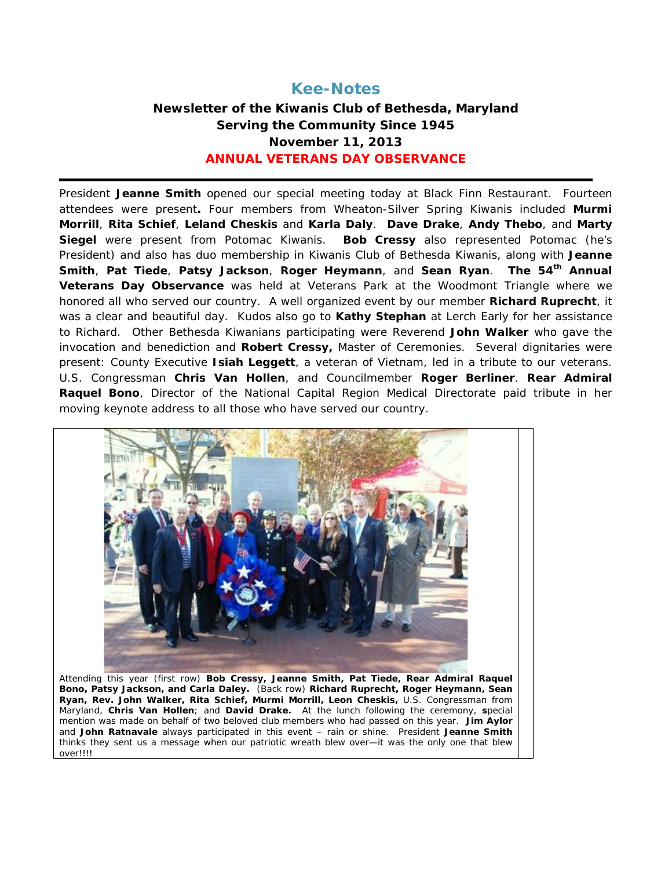# **Kee-Notes**

# **Newsletter of the Kiwanis Club of Bethesda, Maryland Serving the Community Since 1945 November 11, 2013 ANNUAL VETERANS DAY OBSERVANCE**

President **Jeanne Smith** opened our special meeting today at Black Finn Restaurant. Fourteen attendees were present**.** Four members from Wheaton-Silver Spring Kiwanis included **Murmi Morrill**, **Rita Schief**, **Leland Cheskis** and **Karla Daly**. **Dave Drake**, **Andy Thebo**, and **Marty Siegel** were present from Potomac Kiwanis. **Bob Cressy** also represented Potomac (he's President) and also has duo membership in Kiwanis Club of Bethesda Kiwanis, along with **Jeanne Smith**, **Pat Tiede**, **Patsy Jackson**, **Roger Heymann**, and **Sean Ryan**. **The 54th Annual Veterans Day Observance** was held at Veterans Park at the Woodmont Triangle where we honored all who served our country. A well organized event by our member **Richard Ruprecht**, it was a clear and beautiful day. Kudos also go to **Kathy Stephan** at Lerch Early for her assistance to Richard. Other Bethesda Kiwanians participating were Reverend **John Walker** who gave the invocation and benediction and **Robert Cressy,** Master of Ceremonies.Several dignitaries were present: County Executive **Isiah Leggett**, a veteran of Vietnam, led in a tribute to our veterans. U.S. Congressman **Chris Van Hollen**, and Councilmember **Roger Berliner**. **Rear Admiral Raquel Bono**, Director of the National Capital Region Medical Directorate paid tribute in her moving keynote address to all those who have served our country.



Attending this year (first row) **Bob Cressy, Jeanne Smith, Pat Tiede, Rear Admiral Raquel Bono, Patsy Jackson, and Carla Daley.** (Back row) **Richard Ruprecht, Roger Heymann, Sean Ryan, Rev. John Walker, Rita Schief, Murmi Morrill, Leon Cheskis,** U.S. Congressman from Maryland, **Chris Van Hollen**; and **David Drake.** At the lunch following the ceremony, **s**pecial mention was made on behalf of two beloved club members who had passed on this year. **Jim Aylor** and **John Ratnavale** always participated in this event – rain or shine. President **Jeanne Smith**  thinks they sent us a message when our patriotic wreath blew over—it was the only one that blew over!!!!